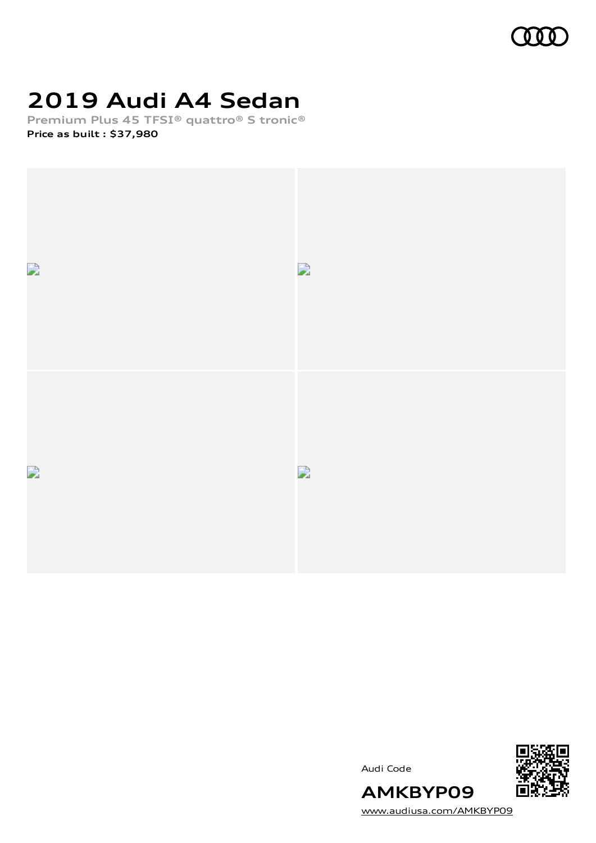

# **2019 Audi A4 Sedan**

**Premium Plus 45 TFSI® quattro® S tronic® Price as built [:](#page-8-0) \$37,980**



Audi Code



[www.audiusa.com/AMKBYP09](https://www.audiusa.com/AMKBYP09)

**AMKBYP09**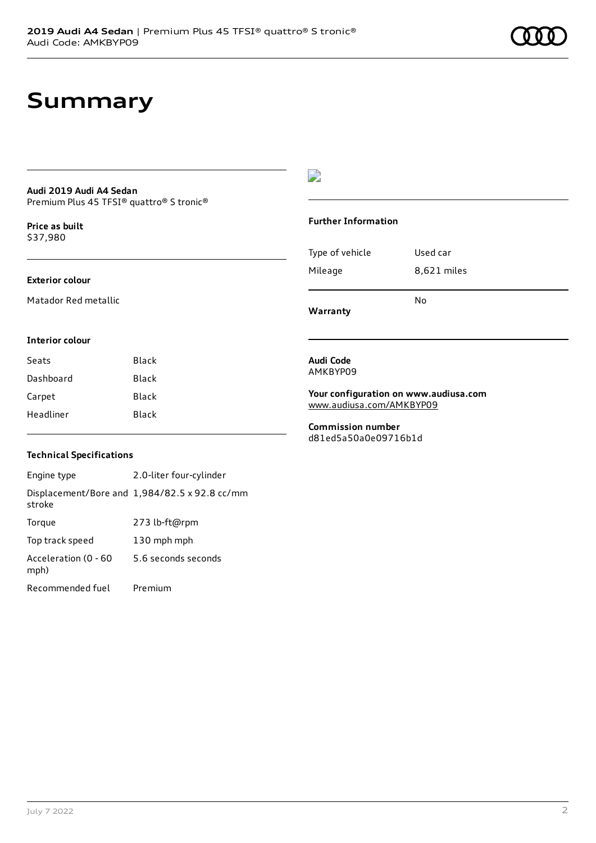# **Summary**

### **Audi 2019 Audi A4 Sedan** Premium Plus 45 TFSI® quattro® S tronic®

**Price as buil[t](#page-8-0)** \$37,980

### **Exterior colour**

Matador Red metallic

### D

### **Further Information**

| Type of vehicle | Used car    |
|-----------------|-------------|
| Mileage         | 8,621 miles |
|                 | No          |

**Warranty**

### **Interior colour**

| Seats     | Black |
|-----------|-------|
| Dashboard | Black |
| Carpet    | Black |
| Headliner | Black |

### **Audi Code** AMKBYP09

### **Your configuration on www.audiusa.com** [www.audiusa.com/AMKBYP09](https://www.audiusa.com/AMKBYP09)

**Commission number** d81ed5a50a0e09716b1d

### **Technical Specifications**

Engine type 2.0-liter four-cylinder Displacement/Bore and 1,984/82.5 x 92.8 cc/mm stroke Torque 273 lb-ft@rpm Top track speed 130 mph mph Acceleration (0 - 60 mph) 5.6 seconds seconds Recommended fuel Premium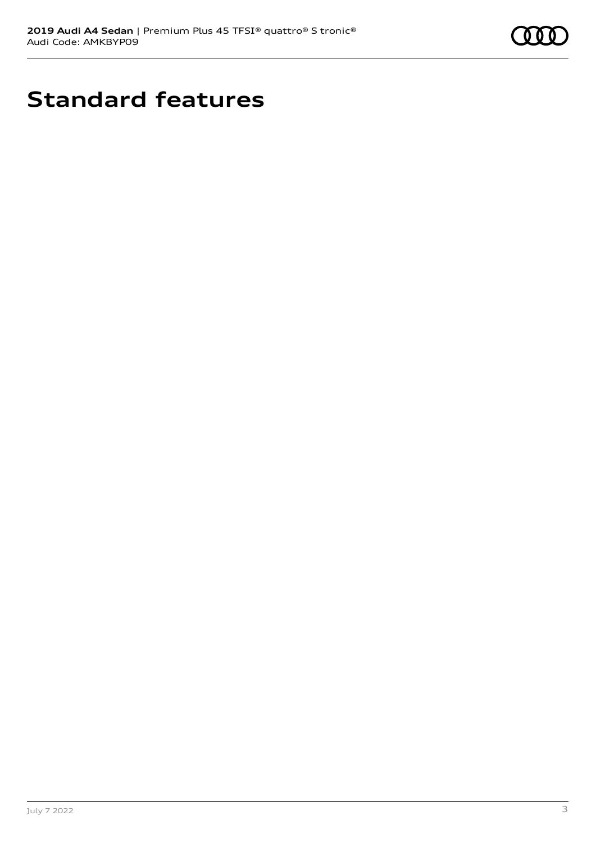

# **Standard features**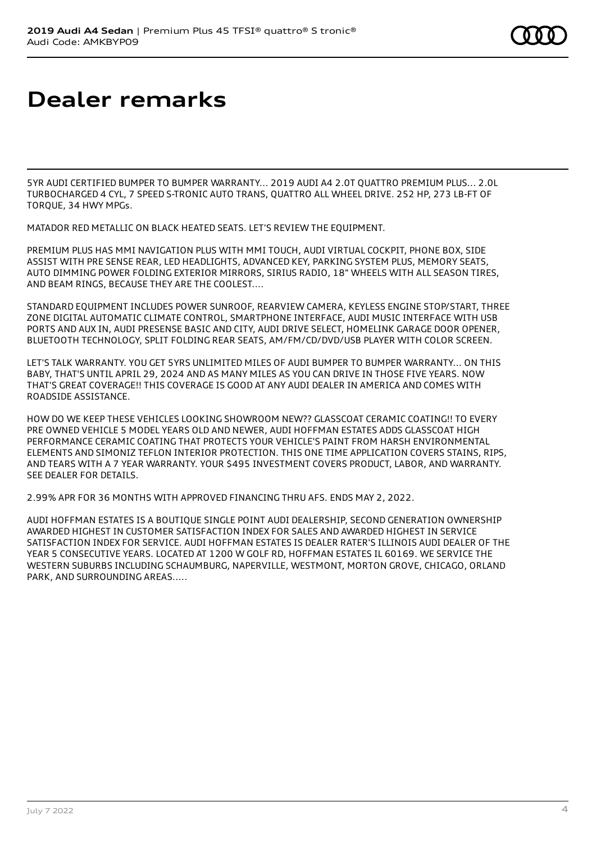# **Dealer remarks**

5YR AUDI CERTIFIED BUMPER TO BUMPER WARRANTY... 2019 AUDI A4 2.0T QUATTRO PREMIUM PLUS... 2.0L TURBOCHARGED 4 CYL, 7 SPEED S-TRONIC AUTO TRANS, QUATTRO ALL WHEEL DRIVE. 252 HP, 273 LB-FT OF TORQUE, 34 HWY MPGs.

MATADOR RED METALLIC ON BLACK HEATED SEATS. LET'S REVIEW THE EQUIPMENT.

PREMIUM PLUS HAS MMI NAVIGATION PLUS WITH MMI TOUCH, AUDI VIRTUAL COCKPIT, PHONE BOX, SIDE ASSIST WITH PRE SENSE REAR, LED HEADLIGHTS, ADVANCED KEY, PARKING SYSTEM PLUS, MEMORY SEATS, AUTO DIMMING POWER FOLDING EXTERIOR MIRRORS, SIRIUS RADIO, 18" WHEELS WITH ALL SEASON TIRES, AND BEAM RINGS, BECAUSE THEY ARE THE COOLEST....

STANDARD EQUIPMENT INCLUDES POWER SUNROOF, REARVIEW CAMERA, KEYLESS ENGINE STOP/START, THREE ZONE DIGITAL AUTOMATIC CLIMATE CONTROL, SMARTPHONE INTERFACE, AUDI MUSIC INTERFACE WITH USB PORTS AND AUX IN, AUDI PRESENSE BASIC AND CITY, AUDI DRIVE SELECT, HOMELINK GARAGE DOOR OPENER, BLUETOOTH TECHNOLOGY, SPLIT FOLDING REAR SEATS, AM/FM/CD/DVD/USB PLAYER WITH COLOR SCREEN.

LET'S TALK WARRANTY. YOU GET 5YRS UNLIMITED MILES OF AUDI BUMPER TO BUMPER WARRANTY... ON THIS BABY, THAT'S UNTIL APRIL 29, 2024 AND AS MANY MILES AS YOU CAN DRIVE IN THOSE FIVE YEARS. NOW THAT'S GREAT COVERAGE!! THIS COVERAGE IS GOOD AT ANY AUDI DEALER IN AMERICA AND COMES WITH ROADSIDE ASSISTANCE.

HOW DO WE KEEP THESE VEHICLES LOOKING SHOWROOM NEW?? GLASSCOAT CERAMIC COATING!! TO EVERY PRE OWNED VEHICLE 5 MODEL YEARS OLD AND NEWER, AUDI HOFFMAN ESTATES ADDS GLASSCOAT HIGH PERFORMANCE CERAMIC COATING THAT PROTECTS YOUR VEHICLE'S PAINT FROM HARSH ENVIRONMENTAL ELEMENTS AND SIMONIZ TEFLON INTERIOR PROTECTION. THIS ONE TIME APPLICATION COVERS STAINS, RIPS, AND TEARS WITH A 7 YEAR WARRANTY. YOUR \$495 INVESTMENT COVERS PRODUCT, LABOR, AND WARRANTY. SEE DEALER FOR DETAILS.

2.99% APR FOR 36 MONTHS WITH APPROVED FINANCING THRU AFS. ENDS MAY 2, 2022.

AUDI HOFFMAN ESTATES IS A BOUTIQUE SINGLE POINT AUDI DEALERSHIP, SECOND GENERATION OWNERSHIP AWARDED HIGHEST IN CUSTOMER SATISFACTION INDEX FOR SALES AND AWARDED HIGHEST IN SERVICE SATISFACTION INDEX FOR SERVICE. AUDI HOFFMAN ESTATES IS DEALER RATER'S ILLINOIS AUDI DEALER OF THE YEAR 5 CONSECUTIVE YEARS. LOCATED AT 1200 W GOLF RD, HOFFMAN ESTATES IL 60169. WE SERVICE THE WESTERN SUBURBS INCLUDING SCHAUMBURG, NAPERVILLE, WESTMONT, MORTON GROVE, CHICAGO, ORLAND PARK, AND SURROUNDING AREAS.....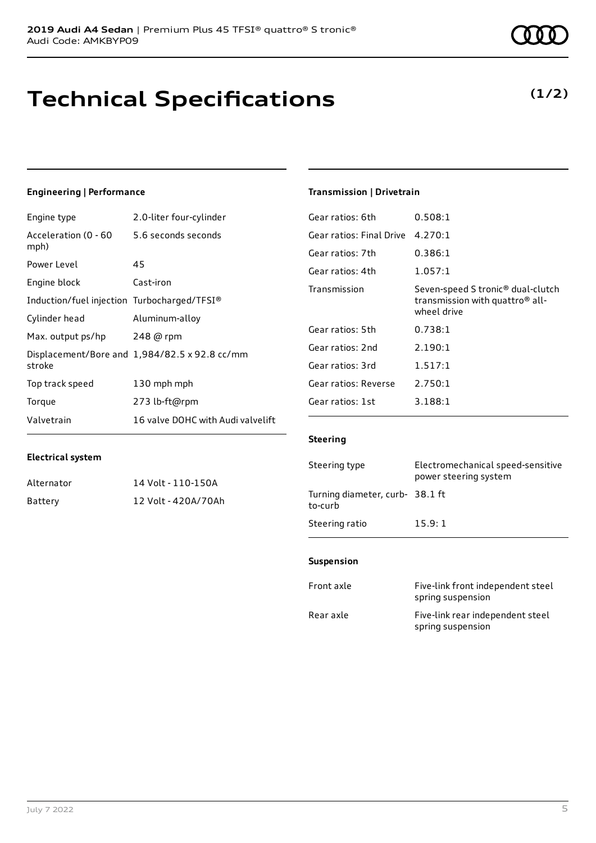# **Technical Specifications**

July 7 2022 5

**Electrical system**

## **Engineering | Performance**

Engine type 2.0-liter four-cylinder

Alternator 14 Volt - 110-150A Battery 12 Volt - 420A/70Ah

| Acceleration (0 - 60<br>mph)                | 5.6 seconds seconds                           |
|---------------------------------------------|-----------------------------------------------|
| Power Level                                 | 45                                            |
| Engine block                                | Cast-iron                                     |
| Induction/fuel injection Turbocharged/TFSI® |                                               |
| Cylinder head                               | Aluminum-alloy                                |
| Max. output ps/hp                           | 248 @ rpm                                     |
| stroke                                      | Displacement/Bore and 1,984/82.5 x 92.8 cc/mm |
| Top track speed                             | 130 mph mph                                   |
| Torque                                      | 273 lb-ft@rpm                                 |
| Valvetrain                                  | 16 valve DOHC with Audi valvelift             |

### **Transmission | Drivetrain**

| Gear ratios: 6th         | 0.508:1                                                                                                     |
|--------------------------|-------------------------------------------------------------------------------------------------------------|
| Gear ratios: Final Drive | 4.270:1                                                                                                     |
| Gear ratios: 7th         | 0.386:1                                                                                                     |
| Gear ratios: 4th         | 1.057:1                                                                                                     |
| Transmission             | Seven-speed S tronic <sup>®</sup> dual-clutch<br>transmission with quattro <sup>®</sup> all-<br>wheel drive |
| Gear ratios: 5th         | 0.738:1                                                                                                     |
| Gear ratios: 2nd         | 2.190:1                                                                                                     |
| Gear ratios: 3rd         | 1.517:1                                                                                                     |
| Gear ratios: Reverse     | 2.750:1                                                                                                     |
| Gear ratios: 1st         | 3.188:1                                                                                                     |

### **Steering**

| Steering type                             | Electromechanical speed-sensitive<br>power steering system |
|-------------------------------------------|------------------------------------------------------------|
| Turning diameter, curb-38.1 ft<br>to-curb |                                                            |
| Steering ratio                            | 15.9:1                                                     |

### **Suspension**

| Front axle | Five-link front independent steel<br>spring suspension |
|------------|--------------------------------------------------------|
| Rear axle  | Five-link rear independent steel<br>spring suspension  |

**(1/2)**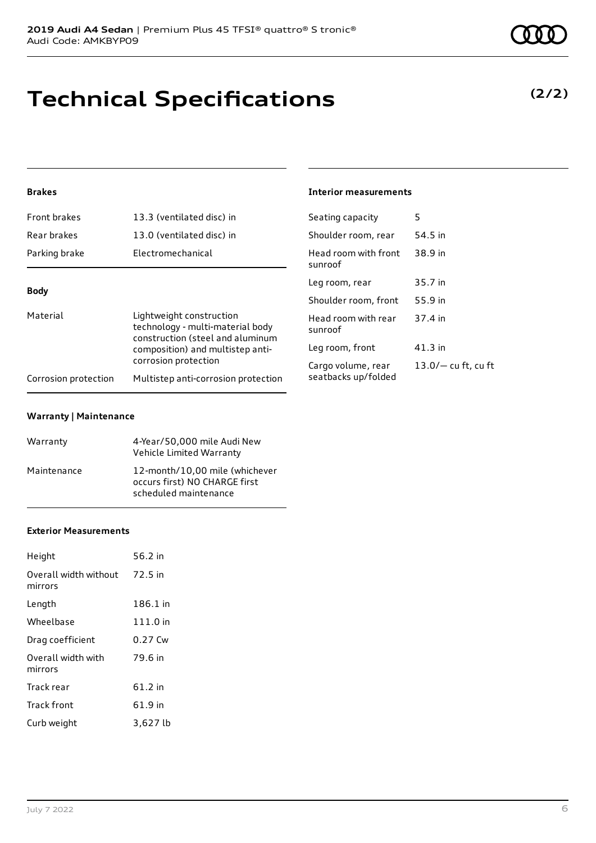# **Technical Specifications**

### **Brakes**

| 13.3 (ventilated disc) in                                                | Seating capacity                                         | 5                  |
|--------------------------------------------------------------------------|----------------------------------------------------------|--------------------|
| 13.0 (ventilated disc) in                                                | Shoulder room, rear                                      | 54.5 in            |
| Electromechanical                                                        | Head room with front<br>sunroof                          | 38.9 in            |
| <b>Body</b>                                                              |                                                          | 35.7 in            |
|                                                                          | Shoulder room, front                                     | 55.9 in            |
| Material<br>Lightweight construction<br>technology - multi-material body | Head room with rear<br>sunroof                           | 37.4 in            |
| composition) and multistep anti-                                         | Leg room, front                                          | $41.3$ in          |
| Multistep anti-corrosion protection                                      | Cargo volume, rear<br>seatbacks up/folded                | $13.0/-$ cu ft, cu |
|                                                                          | construction (steel and aluminum<br>corrosion protection | Leg room, rear     |

### **Warranty | Maintenance**

| Warranty    | 4-Year/50,000 mile Audi New<br>Vehicle Limited Warranty                                  |
|-------------|------------------------------------------------------------------------------------------|
| Maintenance | 12-month/10,00 mile (whichever<br>occurs first) NO CHARGE first<br>scheduled maintenance |

### **Exterior Measurements**

| Height                           | 56.2 in   |
|----------------------------------|-----------|
| Overall width without<br>mirrors | 72.5 in   |
| Length                           | 186.1 in  |
| Wheelbase                        | 111.0 in  |
| Drag coefficient                 | 0.27 Cw   |
| Overall width with<br>mirrors    | 79.6 in   |
| Track rear                       | $61.2$ in |
| <b>Track front</b>               | 61.9 in   |
| Curb weight                      | 3,627 lb  |

**(2/2)**

## **Interior measurements**

| Seating capacity                          | 5                   |
|-------------------------------------------|---------------------|
| Shoulder room, rear                       | 54.5 in             |
| Head room with front<br>sunroof           | 38.9 in             |
| Leg room, rear                            | 35.7 in             |
| Shoulder room, front                      | 55.9 in             |
| Head room with rear<br>sunroof            | 37.4 in             |
| Leg room, front                           | 41.3 in             |
| Cargo volume, rear<br>seatbacks un/folded | 13.0/- cu ft, cu ft |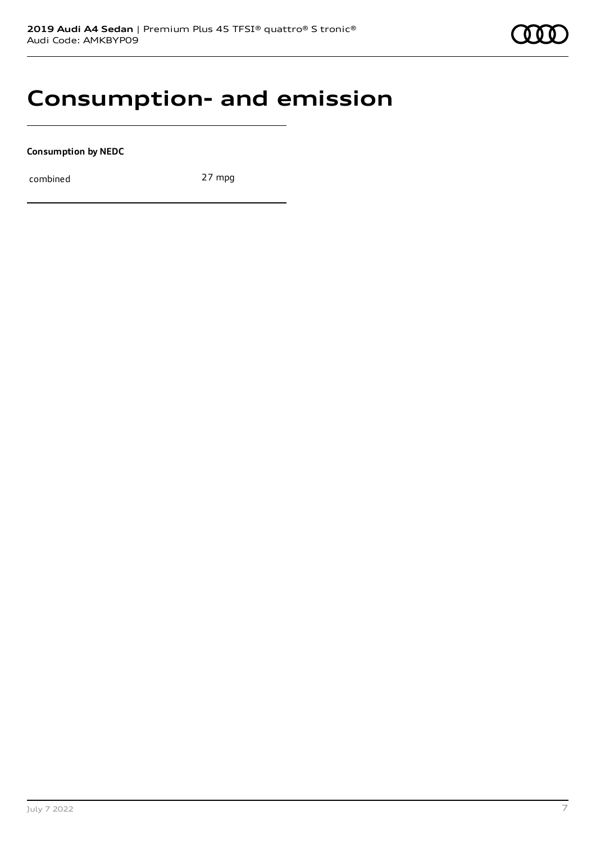# **Consumption- and emission**

**Consumption by NEDC**

combined 27 mpg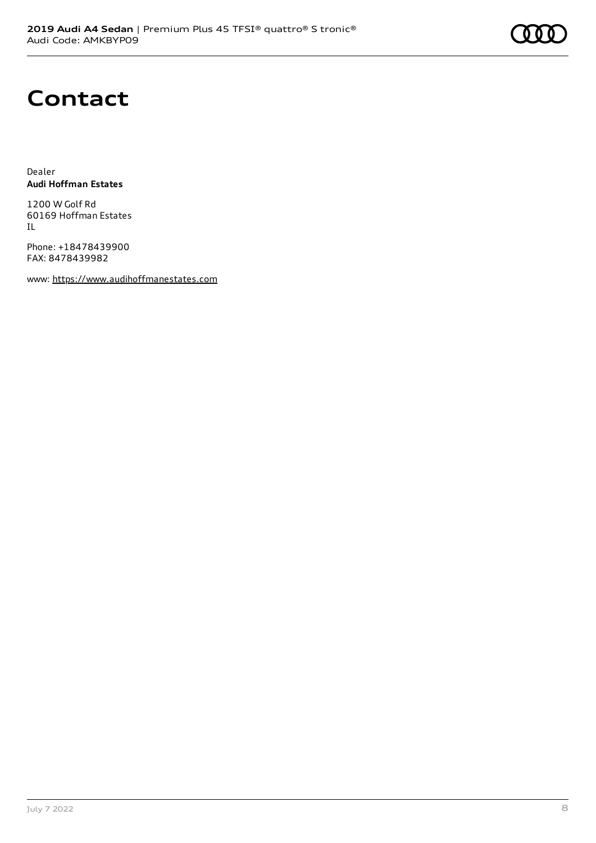# **Contact**

Dealer **Audi Hoffman Estates**

1200 W Golf Rd 60169 Hoffman Estates IL

Phone: +18478439900 FAX: 8478439982

www: [https://www.audihoffmanestates.com](https://www.audihoffmanestates.com/)